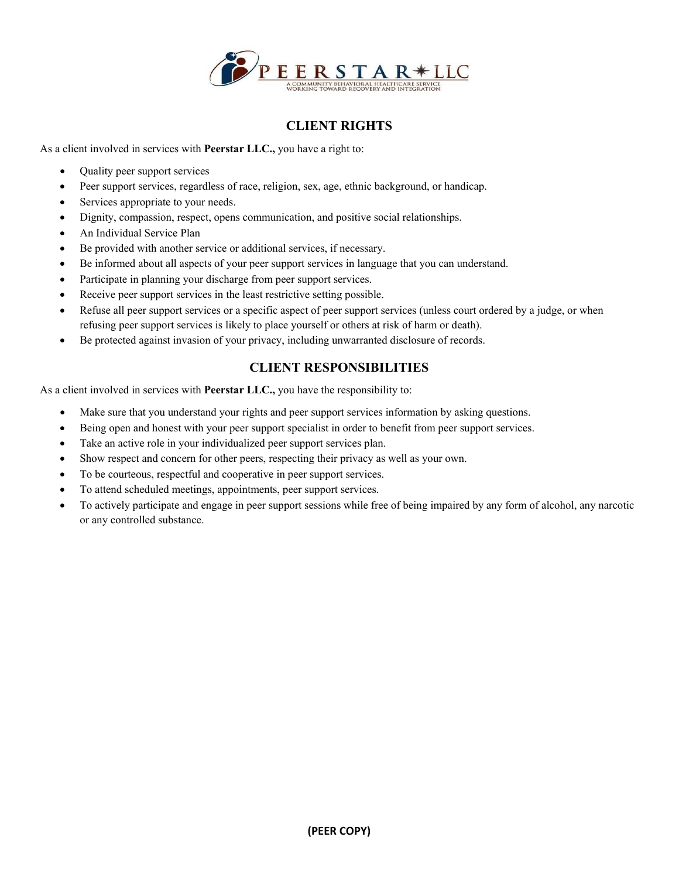

# **CLIENT RIGHTS**

As a client involved in services with **Peerstar LLC.,** you have a right to:

- Quality peer support services
- Peer support services, regardless of race, religion, sex, age, ethnic background, or handicap.
- Services appropriate to your needs.
- Dignity, compassion, respect, opens communication, and positive social relationships.
- An Individual Service Plan
- Be provided with another service or additional services, if necessary.
- Be informed about all aspects of your peer support services in language that you can understand.
- Participate in planning your discharge from peer support services.
- Receive peer support services in the least restrictive setting possible.
- Refuse all peer support services or a specific aspect of peer support services (unless court ordered by a judge, or when refusing peer support services is likely to place yourself or others at risk of harm or death).
- Be protected against invasion of your privacy, including unwarranted disclosure of records.

## **CLIENT RESPONSIBILITIES**

As a client involved in services with **Peerstar LLC.,** you have the responsibility to:

- Make sure that you understand your rights and peer support services information by asking questions.
- Being open and honest with your peer support specialist in order to benefit from peer support services.
- Take an active role in your individualized peer support services plan.
- Show respect and concern for other peers, respecting their privacy as well as your own.
- To be courteous, respectful and cooperative in peer support services.
- To attend scheduled meetings, appointments, peer support services.
- To actively participate and engage in peer support sessions while free of being impaired by any form of alcohol, any narcotic or any controlled substance.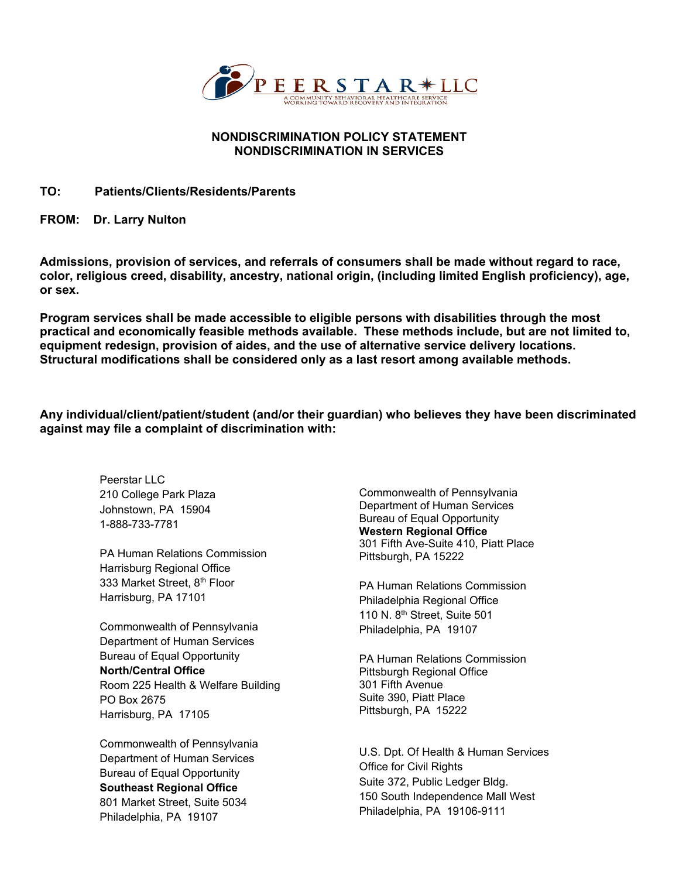

### **NONDISCRIMINATION POLICY STATEMENT NONDISCRIMINATION IN SERVICES**

#### **TO: Patients/Clients/Residents/Parents**

**FROM: Dr. Larry Nulton** 

**Admissions, provision of services, and referrals of consumers shall be made without regard to race, color, religious creed, disability, ancestry, national origin, (including limited English proficiency), age, or sex.** 

**Program services shall be made accessible to eligible persons with disabilities through the most practical and economically feasible methods available. These methods include, but are not limited to, equipment redesign, provision of aides, and the use of alternative service delivery locations. Structural modifications shall be considered only as a last resort among available methods.** 

**Any individual/client/patient/student (and/or their guardian) who believes they have been discriminated against may file a complaint of discrimination with:**

> Peerstar LLC 210 College Park Plaza Johnstown, PA 15904 1-888-733-7781

PA Human Relations Commission Harrisburg Regional Office 333 Market Street, 8th Floor Harrisburg, PA 17101

Commonwealth of Pennsylvania Department of Human Services Bureau of Equal Opportunity **North/Central Office** Room 225 Health & Welfare Building PO Box 2675 Harrisburg, PA 17105

Commonwealth of Pennsylvania Department of Human Services Bureau of Equal Opportunity **Southeast Regional Office**  801 Market Street, Suite 5034 Philadelphia, PA 19107

Commonwealth of Pennsylvania Department of Human Services Bureau of Equal Opportunity **Western Regional Office** 301 Fifth Ave-Suite 410, Piatt Place Pittsburgh, PA 15222

PA Human Relations Commission Philadelphia Regional Office 110 N. 8th Street, Suite 501 Philadelphia, PA 19107

PA Human Relations Commission Pittsburgh Regional Office 301 Fifth Avenue Suite 390, Piatt Place Pittsburgh, PA 15222

U.S. Dpt. Of Health & Human Services Office for Civil Rights Suite 372, Public Ledger Bldg. 150 South Independence Mall West Philadelphia, PA 19106-9111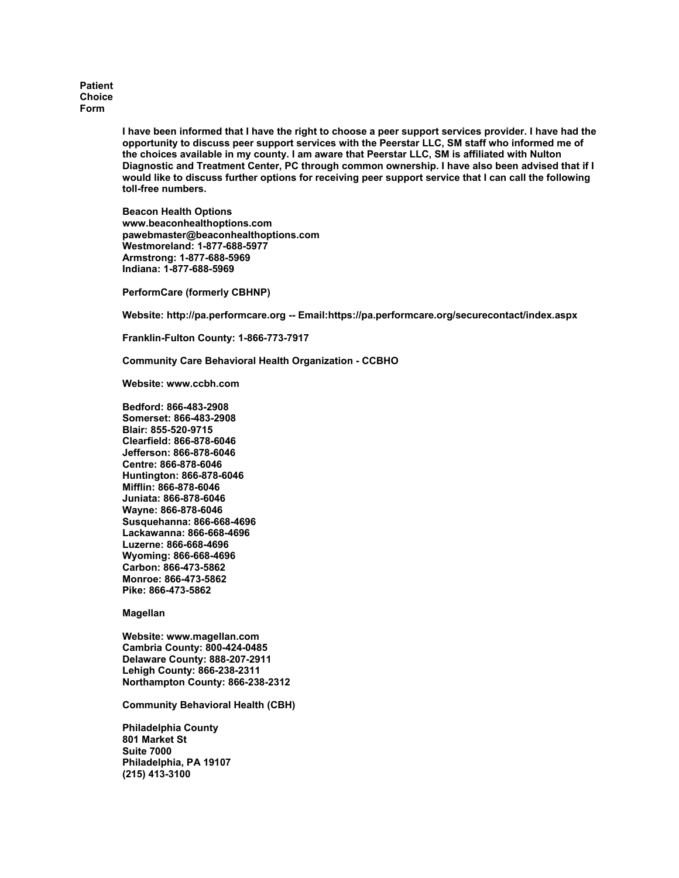**Patient Choice Form**

> **I have been informed that I have the right to choose a peer support services provider. I have had the opportunity to discuss peer support services with the Peerstar LLC, SM staff who informed me of the choices available in my county. I am aware that Peerstar LLC, SM is affiliated with Nulton Diagnostic and Treatment Center, PC through common ownership. I have also been advised that if I would like to discuss further options for receiving peer support service that I can call the following toll-free numbers.**

**Beacon Health Options www.beaconhealthoptions.com pawebmaster@beaconhealthoptions.com Westmoreland: 1-877-688-5977 Armstrong: 1-877-688-5969 Indiana: 1-877-688-5969**

**PerformCare (formerly CBHNP)**

**Website: http://pa.performcare.org -- Email:https://pa.performcare.org/securecontact/index.aspx**

**Franklin-Fulton County: 1-866-773-7917**

**Community Care Behavioral Health Organization - CCBHO**

**Website: www.ccbh.com**

**Bedford: 866-483-2908 Somerset: 866-483-2908 Blair: 855-520-9715 Clearfield: 866-878-6046 Jefferson: 866-878-6046 Centre: 866-878-6046 Huntington: 866-878-6046 Mifflin: 866-878-6046 Juniata: 866-878-6046 Wayne: 866-878-6046 Susquehanna: 866-668-4696 Lackawanna: 866-668-4696 Luzerne: 866-668-4696 Wyoming: 866-668-4696 Carbon: 866-473-5862 Monroe: 866-473-5862 Pike: 866-473-5862**

**Magellan**

**Website: www.magellan.com Cambria County: 800-424-0485 Delaware County: 888-207-2911 Lehigh County: 866-238-2311 Northampton County: 866-238-2312**

**Community Behavioral Health (CBH)**

**Philadelphia County 801 Market St Suite 7000 Philadelphia, PA 19107 (215) 413-3100**